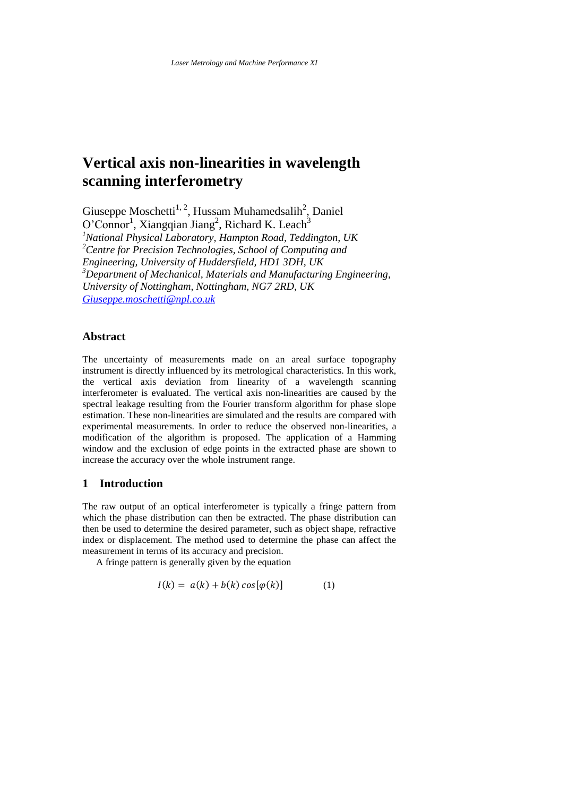# **Vertical axis non-linearities in wavelength scanning interferometry**

Giuseppe Moschetti<sup>1, 2</sup>, Hussam Muhamedsalih<sup>2</sup>, Daniel  $O^{\prime}$ Connor<sup>1</sup>, Xiangqian Jiang<sup>2</sup>, Richard K. Leach<sup>3</sup>

*<sup>1</sup>National Physical Laboratory, Hampton Road, Teddington, UK <sup>2</sup>Centre for Precision Technologies, School of Computing and Engineering, University of Huddersfield, HD1 3DH, UK <sup>3</sup>Department of Mechanical, Materials and Manufacturing Engineering, University of Nottingham, Nottingham, NG7 2RD, UK [Giuseppe.moschetti@npl.co.uk](mailto:Giuseppe.moschetti@npl.co.uk)*

# **Abstract**

The uncertainty of measurements made on an areal surface topography instrument is directly influenced by its metrological characteristics. In this work, the vertical axis deviation from linearity of a wavelength scanning interferometer is evaluated. The vertical axis non-linearities are caused by the spectral leakage resulting from the Fourier transform algorithm for phase slope estimation. These non-linearities are simulated and the results are compared with experimental measurements. In order to reduce the observed non-linearities, a modification of the algorithm is proposed. The application of a Hamming window and the exclusion of edge points in the extracted phase are shown to increase the accuracy over the whole instrument range.

# **1 Introduction**

The raw output of an optical interferometer is typically a fringe pattern from which the phase distribution can then be extracted. The phase distribution can then be used to determine the desired parameter, such as object shape, refractive index or displacement. The method used to determine the phase can affect the measurement in terms of its accuracy and precision.

A fringe pattern is generally given by the equation

$$
I(k) = a(k) + b(k) \cos[\varphi(k)] \tag{1}
$$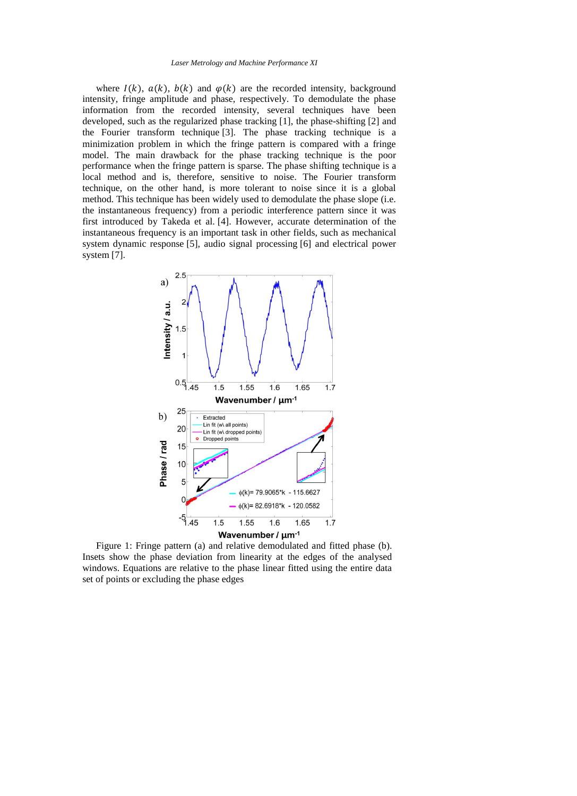where  $I(k)$ ,  $a(k)$ ,  $b(k)$  and  $\varphi(k)$  are the recorded intensity, background intensity, fringe amplitude and phase, respectively. To demodulate the phase information from the recorded intensity, several techniques have been developed, such as the regularized phase tracking [1], the phase-shifting [2] and the Fourier transform technique [3]. The phase tracking technique is a minimization problem in which the fringe pattern is compared with a fringe model. The main drawback for the phase tracking technique is the poor performance when the fringe pattern is sparse. The phase shifting technique is a local method and is, therefore, sensitive to noise. The Fourier transform technique, on the other hand, is more tolerant to noise since it is a global method. This technique has been widely used to demodulate the phase slope (i.e. the instantaneous frequency) from a periodic interference pattern since it was first introduced by Takeda et al. [4]. However, accurate determination of the instantaneous frequency is an important task in other fields, such as mechanical system dynamic response [5], audio signal processing [6] and electrical power system [7].



<span id="page-1-0"></span>Figure 1: Fringe pattern (a) and relative demodulated and fitted phase (b). Insets show the phase deviation from linearity at the edges of the analysed windows. Equations are relative to the phase linear fitted using the entire data set of points or excluding the phase edges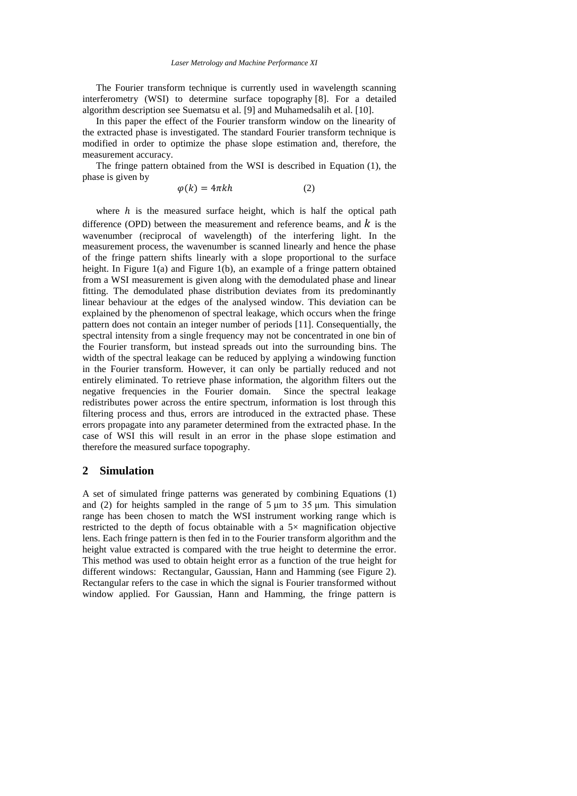The Fourier transform technique is currently used in wavelength scanning interferometry (WSI) to determine surface topography [8]. For a detailed algorithm description see Suematsu et al. [9] and Muhamedsalih et al. [10].

In this paper the effect of the Fourier transform window on the linearity of the extracted phase is investigated. The standard Fourier transform technique is modified in order to optimize the phase slope estimation and, therefore, the measurement accuracy.

The fringe pattern obtained from the WSI is described in Equation (1), the phase is given by

$$
\varphi(k) = 4\pi kh \tag{2}
$$

where  $h$  is the measured surface height, which is half the optical path difference (OPD) between the measurement and reference beams, and  $k$  is the wavenumber (reciprocal of wavelength) of the interfering light. In the measurement process, the wavenumber is scanned linearly and hence the phase of the fringe pattern shifts linearly with a slope proportional to the surface height. In [Figure 1\(](#page-1-0)a) and Figure 1(b), an example of a fringe pattern obtained from a WSI measurement is given along with the demodulated phase and linear fitting. The demodulated phase distribution deviates from its predominantly linear behaviour at the edges of the analysed window. This deviation can be explained by the phenomenon of spectral leakage, which occurs when the fringe pattern does not contain an integer number of periods [11]. Consequentially, the spectral intensity from a single frequency may not be concentrated in one bin of the Fourier transform, but instead spreads out into the surrounding bins. The width of the spectral leakage can be reduced by applying a windowing function in the Fourier transform. However, it can only be partially reduced and not entirely eliminated. To retrieve phase information, the algorithm filters out the negative frequencies in the Fourier domain. Since the spectral leakage redistributes power across the entire spectrum, information is lost through this filtering process and thus, errors are introduced in the extracted phase. These errors propagate into any parameter determined from the extracted phase. In the case of WSI this will result in an error in the phase slope estimation and therefore the measured surface topography.

# **2 Simulation**

A set of simulated fringe patterns was generated by combining Equations (1) and (2) for heights sampled in the range of  $5 \mu m$  to  $35 \mu m$ . This simulation range has been chosen to match the WSI instrument working range which is restricted to the depth of focus obtainable with a  $5\times$  magnification objective lens. Each fringe pattern is then fed in to the Fourier transform algorithm and the height value extracted is compared with the true height to determine the error. This method was used to obtain height error as a function of the true height for different windows: Rectangular, Gaussian, Hann and Hamming (see [Figure](#page-3-0) 2). Rectangular refers to the case in which the signal is Fourier transformed without window applied. For Gaussian, Hann and Hamming, the fringe pattern is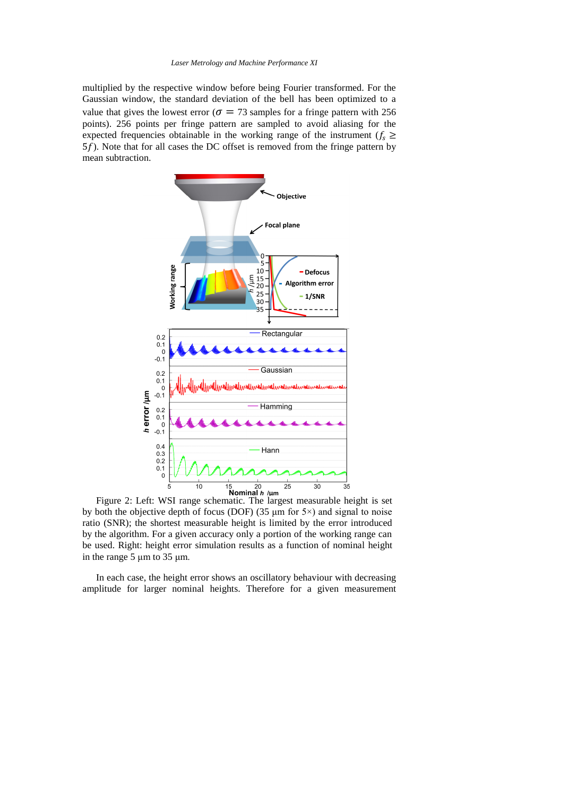multiplied by the respective window before being Fourier transformed. For the Gaussian window, the standard deviation of the bell has been optimized to a value that gives the lowest error ( $\sigma = 73$  samples for a fringe pattern with 256 points). 256 points per fringe pattern are sampled to avoid aliasing for the expected frequencies obtainable in the working range of the instrument ( $f_s \geq$ 5f). Note that for all cases the DC offset is removed from the fringe pattern by mean subtraction.



<span id="page-3-0"></span>Figure 2: Left: WSI range schematic. The largest measurable height is set by both the objective depth of focus (DOF) (35  $\mu$ m for 5 $\times$ ) and signal to noise ratio (SNR); the shortest measurable height is limited by the error introduced by the algorithm. For a given accuracy only a portion of the working range can be used. Right: height error simulation results as a function of nominal height in the range 5 μm to 35 μm.

In each case, the height error shows an oscillatory behaviour with decreasing amplitude for larger nominal heights. Therefore for a given measurement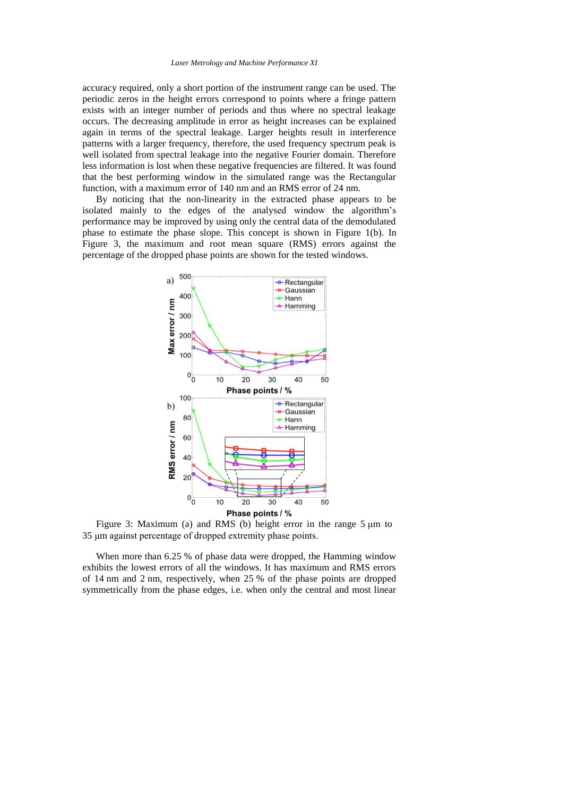accuracy required, only a short portion of the instrument range can be used. The periodic zeros in the height errors correspond to points where a fringe pattern exists with an integer number of periods and thus where no spectral leakage occurs. The decreasing amplitude in error as height increases can be explained again in terms of the spectral leakage. Larger heights result in interference patterns with a larger frequency, therefore, the used frequency spectrum peak is well isolated from spectral leakage into the negative Fourier domain. Therefore less information is lost when these negative frequencies are filtered. It was found that the best performing window in the simulated range was the Rectangular function, with a maximum error of 140 nm and an RMS error of 24 nm.

By noticing that the non-linearity in the extracted phase appears to be isolated mainly to the edges of the analysed window the algorithm's performance may be improved by using only the central data of the demodulated phase to estimate the phase slope. This concept is shown in [Figure 1\(](#page-1-0)b). In [Figure 3,](#page-4-0) the maximum and root mean square (RMS) errors against the percentage of the dropped phase points are shown for the tested windows.



<span id="page-4-0"></span>Figure 3: Maximum (a) and RMS (b) height error in the range 5 μm to 35 μm against percentage of dropped extremity phase points.

When more than 6.25 % of phase data were dropped, the Hamming window exhibits the lowest errors of all the windows. It has maximum and RMS errors of 14 nm and 2 nm, respectively, when 25 % of the phase points are dropped symmetrically from the phase edges, i.e. when only the central and most linear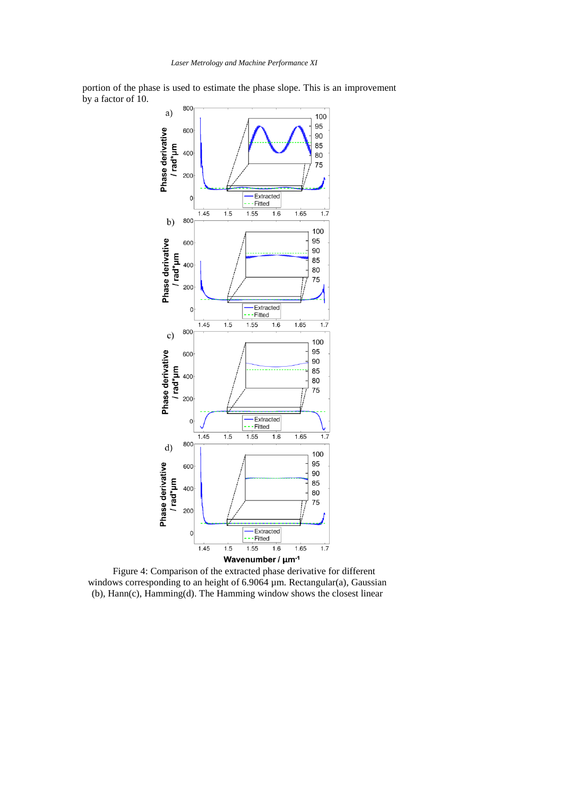portion of the phase is used to estimate the phase slope. This is an improvement by a factor of 10.



Figure 4: Comparison of the extracted phase derivative for different windows corresponding to an height of 6.9064 µm. Rectangular(a), Gaussian (b), Hann(c), Hamming(d). The Hamming window shows the closest linear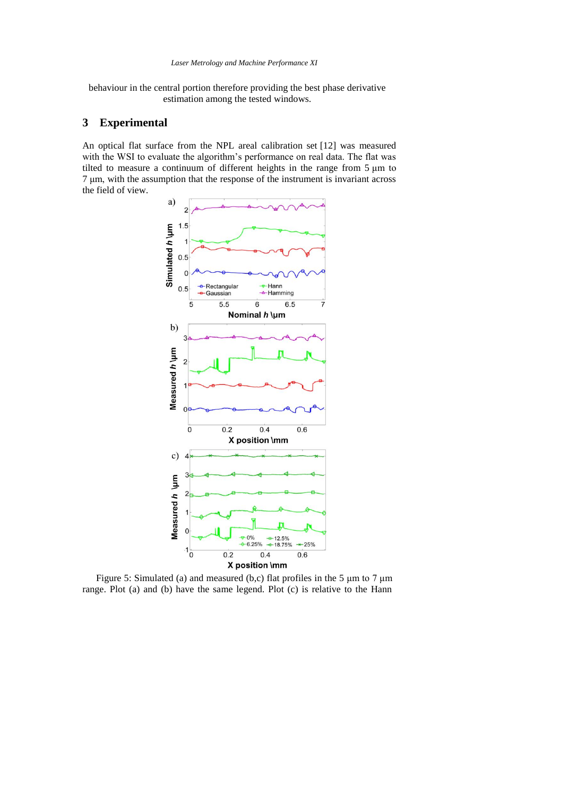behaviour in the central portion therefore providing the best phase derivative estimation among the tested windows.

# **3 Experimental**

An optical flat surface from the NPL areal calibration set [12] was measured with the WSI to evaluate the algorithm's performance on real data. The flat was tilted to measure a continuum of different heights in the range from 5 μm to 7 μm, with the assumption that the response of the instrument is invariant across the field of view.



<span id="page-6-0"></span>Figure 5: Simulated (a) and measured (b,c) flat profiles in the 5 μm to 7 μm range. Plot (a) and (b) have the same legend. Plot (c) is relative to the Hann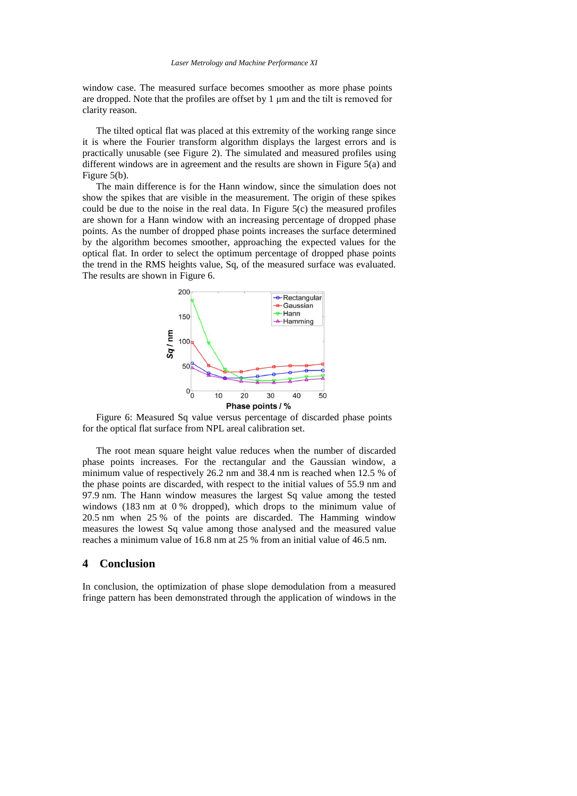window case. The measured surface becomes smoother as more phase points are dropped. Note that the profiles are offset by 1 μm and the tilt is removed for clarity reason.

The tilted optical flat was placed at this extremity of the working range since it is where the Fourier transform algorithm displays the largest errors and is practically unusable (see [Figure 2\)](#page-3-0). The simulated and measured profiles using different windows are in agreement and the results are shown in [Figure 5\(](#page-6-0)a) and [Figure 5\(](#page-6-0)b).

The main difference is for the Hann window, since the simulation does not show the spikes that are visible in the measurement. The origin of these spikes could be due to the noise in the real data. In Figure  $5(c)$  the measured profiles are shown for a Hann window with an increasing percentage of dropped phase points. As the number of dropped phase points increases the surface determined by the algorithm becomes smoother, approaching the expected values for the optical flat. In order to select the optimum percentage of dropped phase points the trend in the RMS heights value, Sq, of the measured surface was evaluated. The results are shown in [Figure 6.](#page-7-0)



<span id="page-7-0"></span>Figure 6: Measured Sq value versus percentage of discarded phase points for the optical flat surface from NPL areal calibration set.

The root mean square height value reduces when the number of discarded phase points increases. For the rectangular and the Gaussian window, a minimum value of respectively 26.2 nm and 38.4 nm is reached when 12.5 % of the phase points are discarded, with respect to the initial values of 55.9 nm and 97.9 nm. The Hann window measures the largest Sq value among the tested windows  $(183 \text{ nm at } 0\% \text{ dropped})$ , which drops to the minimum value of 20.5 nm when 25 % of the points are discarded. The Hamming window measures the lowest Sq value among those analysed and the measured value reaches a minimum value of 16.8 nm at 25 % from an initial value of 46.5 nm.

### **4 Conclusion**

In conclusion, the optimization of phase slope demodulation from a measured fringe pattern has been demonstrated through the application of windows in the